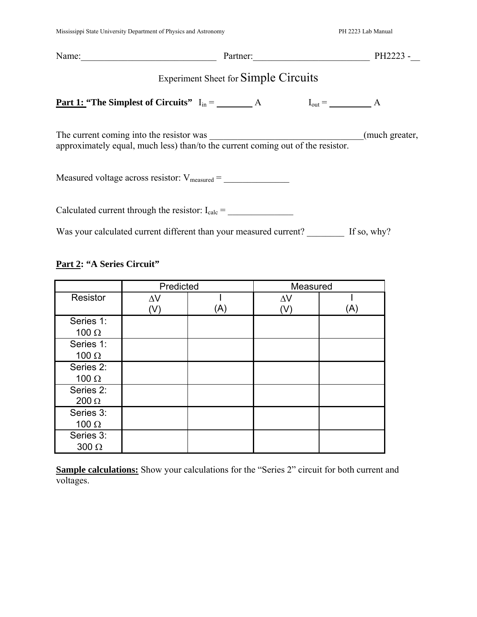| Name:                                                                                                                       | Partner:                         | PH2223 -       |  |  |
|-----------------------------------------------------------------------------------------------------------------------------|----------------------------------|----------------|--|--|
| <b>Experiment Sheet for Simple Circuits</b>                                                                                 |                                  |                |  |  |
| <u>Part 1:</u> "The Simplest of Circuits" $I_{in} =$ $A$                                                                    | $I_{out} = \underline{\qquad}$ A |                |  |  |
| The current coming into the resistor was<br>approximately equal, much less) than/to the current coming out of the resistor. |                                  | (much greater, |  |  |
| Measured voltage across resistor: $V_{\text{measured}} =$                                                                   |                                  |                |  |  |
| Calculated current through the resistor: $I_{calc}$ =                                                                       |                                  |                |  |  |
| Was your calculated current different than your measured current?                                                           |                                  | If so, why?    |  |  |

# **Part 2: "A Series Circuit"**

|              | Predicted  |     | Measured   |     |
|--------------|------------|-----|------------|-----|
| Resistor     | $\Delta V$ |     | $\Delta V$ |     |
|              | $(\vee)$   | (A) | (V)        | (A) |
| Series 1:    |            |     |            |     |
| 100 $\Omega$ |            |     |            |     |
| Series 1:    |            |     |            |     |
| 100 $\Omega$ |            |     |            |     |
| Series 2:    |            |     |            |     |
| 100 $\Omega$ |            |     |            |     |
| Series 2:    |            |     |            |     |
| $200 \Omega$ |            |     |            |     |
| Series 3:    |            |     |            |     |
| 100 $\Omega$ |            |     |            |     |
| Series 3:    |            |     |            |     |
| $300 \Omega$ |            |     |            |     |

**Sample calculations:** Show your calculations for the "Series 2" circuit for both current and voltages.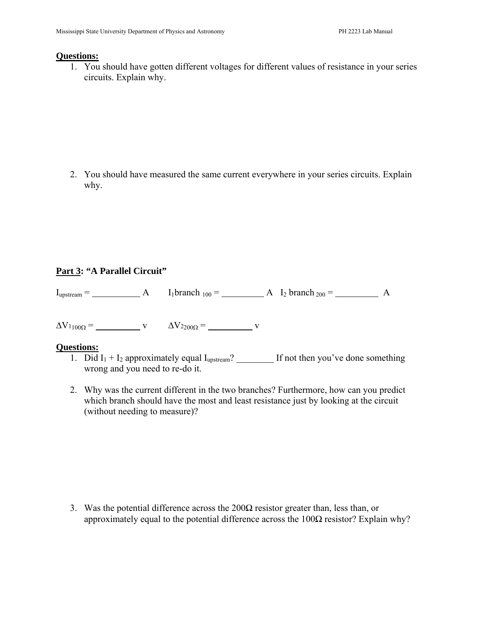#### **Questions:**

1. You should have gotten different voltages for different values of resistance in your series circuits. Explain why.

2. You should have measured the same current everywhere in your series circuits. Explain why.

## **Part 3: "A Parallel Circuit"**

 $I_{upstream} =$   $A$   $I_1$ branch <sub>100</sub> =  $A$   $I_2$  branch <sub>200</sub> =  $A$ 

 $\Delta V_{1100\Omega}$  = v  $\Delta V_{2200\Omega}$  = v

#### **Questions:**

- 1. Did  $I_1 + I_2$  approximately equal  $I_{\text{upstream}}$ ? \_\_\_\_\_\_\_\_\_ If not then you've done something wrong and you need to re-do it.
- 2. Why was the current different in the two branches? Furthermore, how can you predict which branch should have the most and least resistance just by looking at the circuit (without needing to measure)?

3. Was the potential difference across the  $200\Omega$  resistor greater than, less than, or approximately equal to the potential difference across the  $100\Omega$  resistor? Explain why?